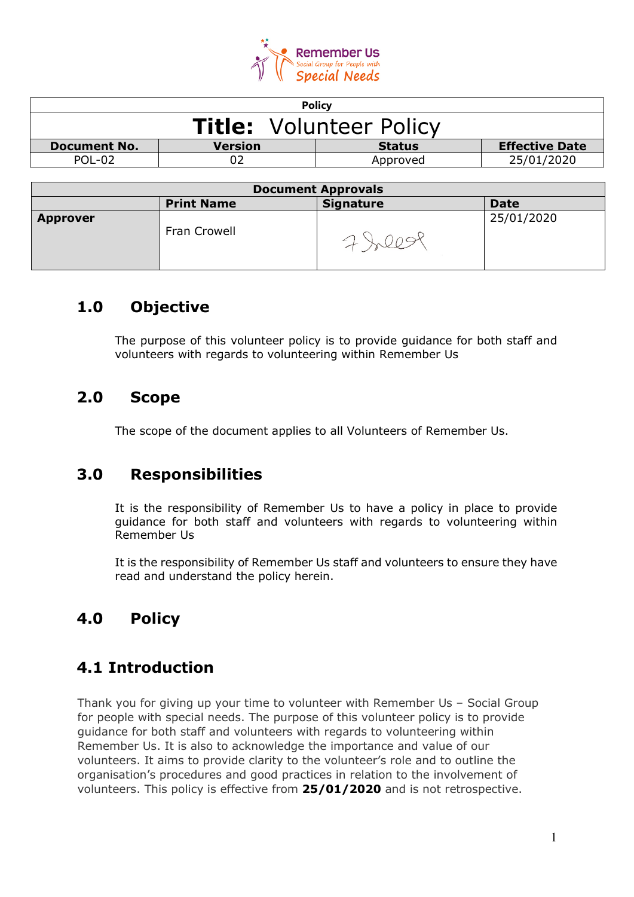

| <b>Policy</b>                  |                |               |                       |
|--------------------------------|----------------|---------------|-----------------------|
| <b>Title:</b> Volunteer Policy |                |               |                       |
| <b>Document No.</b>            | <b>Version</b> | <b>Status</b> | <b>Effective Date</b> |
| $POI - O2$                     |                | Approved      | 25/01/2020            |
|                                |                |               |                       |

| <b>Document Approvals</b> |                   |                  |             |
|---------------------------|-------------------|------------------|-------------|
|                           | <b>Print Name</b> | <b>Signature</b> | <b>Date</b> |
| <b>Approver</b>           | Fran Crowell      |                  | 25/01/2020  |

## **1.0 Objective**

The purpose of this volunteer policy is to provide guidance for both staff and volunteers with regards to volunteering within Remember Us

## **2.0 Scope**

The scope of the document applies to all Volunteers of Remember Us.

## **3.0 Responsibilities**

It is the responsibility of Remember Us to have a policy in place to provide guidance for both staff and volunteers with regards to volunteering within Remember Us

It is the responsibility of Remember Us staff and volunteers to ensure they have read and understand the policy herein.

## **4.0 Policy**

## **4.1 Introduction**

Thank you for giving up your time to volunteer with Remember Us – Social Group for people with special needs. The purpose of this volunteer policy is to provide guidance for both staff and volunteers with regards to volunteering within Remember Us. It is also to acknowledge the importance and value of our volunteers. It aims to provide clarity to the volunteer's role and to outline the organisation's procedures and good practices in relation to the involvement of volunteers. This policy is effective from **25/01/2020** and is not retrospective.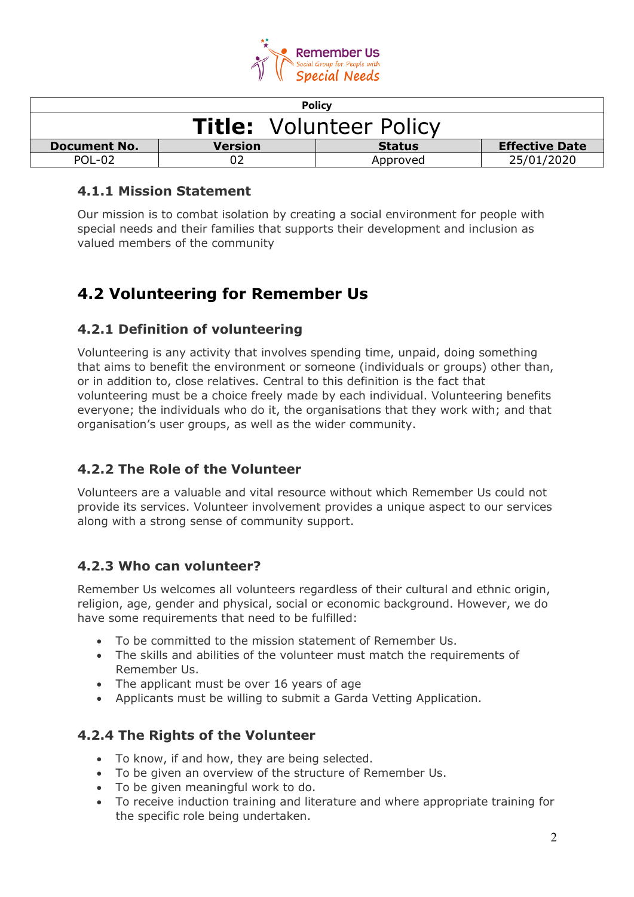

| <b>Policy</b>                                                                   |  |          |            |
|---------------------------------------------------------------------------------|--|----------|------------|
| <b>Title: Volunteer Policy</b>                                                  |  |          |            |
| <b>Effective Date</b><br><b>Version</b><br><b>Document No.</b><br><b>Status</b> |  |          |            |
| POL-02                                                                          |  | Approved | 25/01/2020 |

### **4.1.1 Mission Statement**

Our mission is to combat isolation by creating a social environment for people with special needs and their families that supports their development and inclusion as valued members of the community

## **4.2 Volunteering for Remember Us**

### **4.2.1 Definition of volunteering**

Volunteering is any activity that involves spending time, unpaid, doing something that aims to benefit the environment or someone (individuals or groups) other than, or in addition to, close relatives. Central to this definition is the fact that volunteering must be a choice freely made by each individual. Volunteering benefits everyone; the individuals who do it, the organisations that they work with; and that organisation's user groups, as well as the wider community.

## **4.2.2 The Role of the Volunteer**

Volunteers are a valuable and vital resource without which Remember Us could not provide its services. Volunteer involvement provides a unique aspect to our services along with a strong sense of community support.

#### **4.2.3 Who can volunteer?**

Remember Us welcomes all volunteers regardless of their cultural and ethnic origin, religion, age, gender and physical, social or economic background. However, we do have some requirements that need to be fulfilled:

- To be committed to the mission statement of Remember Us.
- The skills and abilities of the volunteer must match the requirements of Remember Us.
- The applicant must be over 16 years of age
- Applicants must be willing to submit a Garda Vetting Application.

#### **4.2.4 The Rights of the Volunteer**

- To know, if and how, they are being selected.
- To be given an overview of the structure of Remember Us.
- To be given meaningful work to do.
- To receive induction training and literature and where appropriate training for the specific role being undertaken.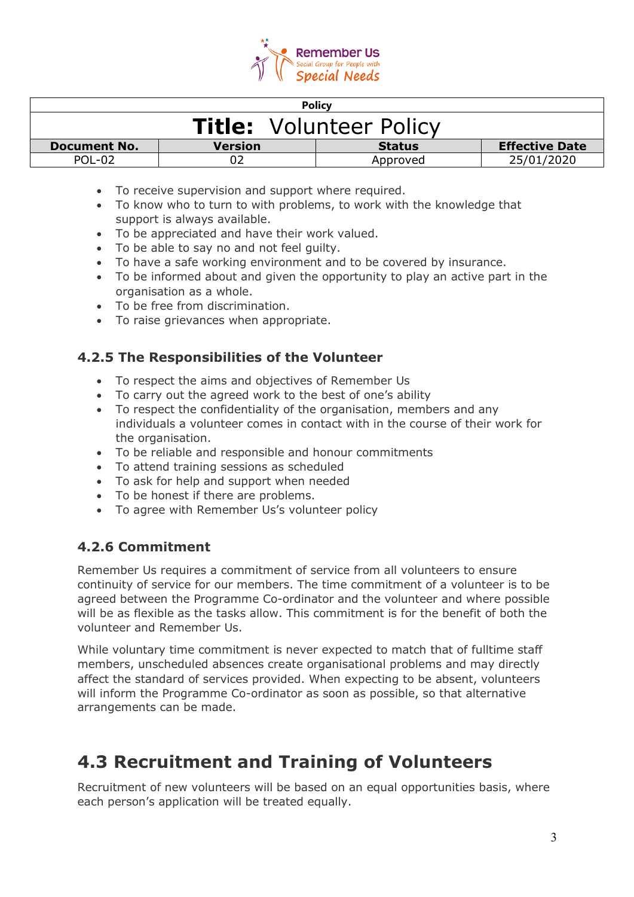

| <b>Policy</b>                  |                |               |                       |
|--------------------------------|----------------|---------------|-----------------------|
| <b>Title: Volunteer Policy</b> |                |               |                       |
| <b>Document No.</b>            | <b>Version</b> | <b>Status</b> | <b>Effective Date</b> |
| POL-02                         |                | Approved      | 25/01/2020            |

- To receive supervision and support where required.
- To know who to turn to with problems, to work with the knowledge that support is always available.
- To be appreciated and have their work valued.
- To be able to say no and not feel guilty.
- To have a safe working environment and to be covered by insurance.
- To be informed about and given the opportunity to play an active part in the organisation as a whole.
- To be free from discrimination.
- To raise grievances when appropriate.

### **4.2.5 The Responsibilities of the Volunteer**

- To respect the aims and objectives of Remember Us
- To carry out the agreed work to the best of one's ability
- To respect the confidentiality of the organisation, members and any individuals a volunteer comes in contact with in the course of their work for the organisation.
- To be reliable and responsible and honour commitments
- To attend training sessions as scheduled
- To ask for help and support when needed
- To be honest if there are problems.
- To agree with Remember Us's volunteer policy

#### **4.2.6 Commitment**

Remember Us requires a commitment of service from all volunteers to ensure continuity of service for our members. The time commitment of a volunteer is to be agreed between the Programme Co-ordinator and the volunteer and where possible will be as flexible as the tasks allow. This commitment is for the benefit of both the volunteer and Remember Us.

While voluntary time commitment is never expected to match that of fulltime staff members, unscheduled absences create organisational problems and may directly affect the standard of services provided. When expecting to be absent, volunteers will inform the Programme Co-ordinator as soon as possible, so that alternative arrangements can be made.

## **4.3 Recruitment and Training of Volunteers**

Recruitment of new volunteers will be based on an equal opportunities basis, where each person's application will be treated equally.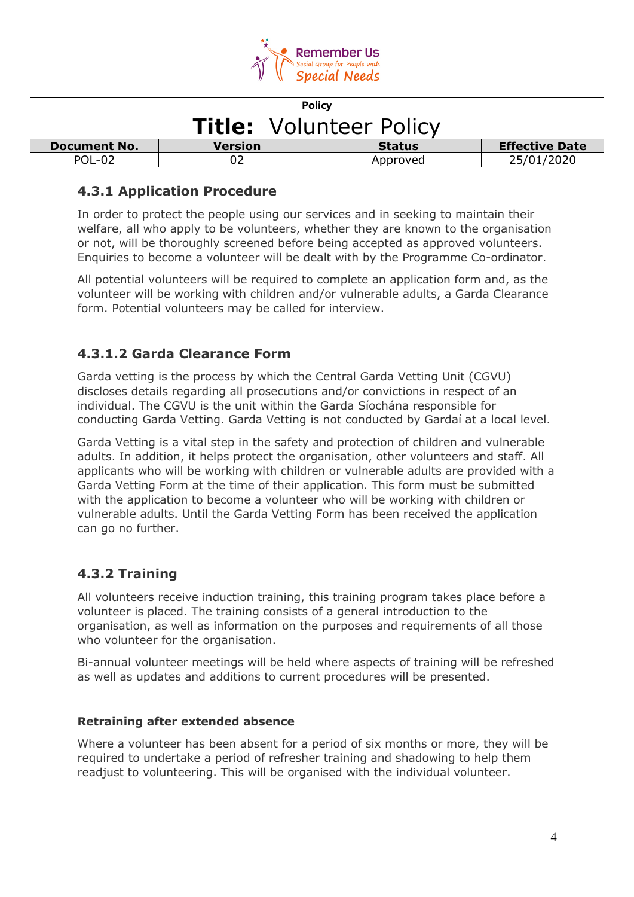

| <b>Policy</b>                  |                |               |                       |
|--------------------------------|----------------|---------------|-----------------------|
| <b>Title: Volunteer Policy</b> |                |               |                       |
| <b>Document No.</b>            | <b>Version</b> | <b>Status</b> | <b>Effective Date</b> |
| $POL-02$                       |                | Approved      | 25/01/2020            |

### **4.3.1 Application Procedure**

In order to protect the people using our services and in seeking to maintain their welfare, all who apply to be volunteers, whether they are known to the organisation or not, will be thoroughly screened before being accepted as approved volunteers. Enquiries to become a volunteer will be dealt with by the Programme Co-ordinator.

All potential volunteers will be required to complete an application form and, as the volunteer will be working with children and/or vulnerable adults, a Garda Clearance form. Potential volunteers may be called for interview.

## **4.3.1.2 Garda Clearance Form**

Garda vetting is the process by which the Central Garda Vetting Unit (CGVU) discloses details regarding all prosecutions and/or convictions in respect of an individual. The CGVU is the unit within the Garda Síochána responsible for conducting Garda Vetting. Garda Vetting is not conducted by Gardaí at a local level.

Garda Vetting is a vital step in the safety and protection of children and vulnerable adults. In addition, it helps protect the organisation, other volunteers and staff. All applicants who will be working with children or vulnerable adults are provided with a Garda Vetting Form at the time of their application. This form must be submitted with the application to become a volunteer who will be working with children or vulnerable adults. Until the Garda Vetting Form has been received the application can go no further.

## **4.3.2 Training**

All volunteers receive induction training, this training program takes place before a volunteer is placed. The training consists of a general introduction to the organisation, as well as information on the purposes and requirements of all those who volunteer for the organisation.

Bi-annual volunteer meetings will be held where aspects of training will be refreshed as well as updates and additions to current procedures will be presented.

#### **Retraining after extended absence**

Where a volunteer has been absent for a period of six months or more, they will be required to undertake a period of refresher training and shadowing to help them readjust to volunteering. This will be organised with the individual volunteer.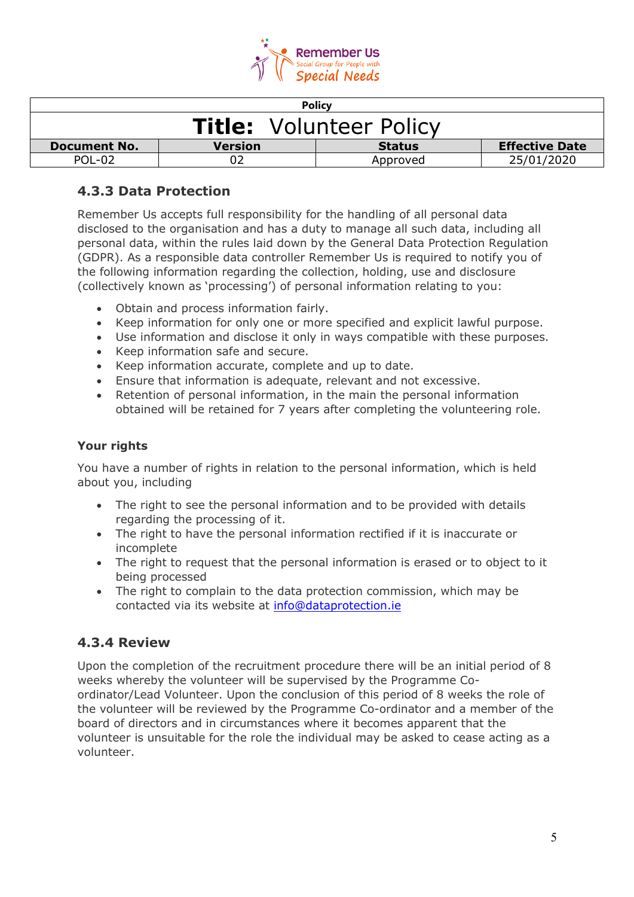

| <b>Policy</b>                                                                   |  |          |            |
|---------------------------------------------------------------------------------|--|----------|------------|
| <b>Title: Volunteer Policy</b>                                                  |  |          |            |
| <b>Effective Date</b><br><b>Version</b><br><b>Document No.</b><br><b>Status</b> |  |          |            |
| POL-02                                                                          |  | Approved | 25/01/2020 |

## **4.3.3 Data Protection**

Remember Us accepts full responsibility for the handling of all personal data disclosed to the organisation and has a duty to manage all such data, including all personal data, within the rules laid down by the General Data Protection Regulation (GDPR). As a responsible data controller Remember Us is required to notify you of the following information regarding the collection, holding, use and disclosure (collectively known as 'processing') of personal information relating to you:

- Obtain and process information fairly.
- Keep information for only one or more specified and explicit lawful purpose.
- Use information and disclose it only in ways compatible with these purposes.
- Keep information safe and secure.
- Keep information accurate, complete and up to date.
- Ensure that information is adequate, relevant and not excessive.
- Retention of personal information, in the main the personal information obtained will be retained for 7 years after completing the volunteering role.

#### **Your rights**

You have a number of rights in relation to the personal information, which is held about you, including

- The right to see the personal information and to be provided with details regarding the processing of it.
- The right to have the personal information rectified if it is inaccurate or incomplete
- The right to request that the personal information is erased or to object to it being processed
- The right to complain to the data protection commission, which may be contacted via its website at [info@dataprotection.ie](mailto:info@dataprotection.ie)

## **4.3.4 Review**

Upon the completion of the recruitment procedure there will be an initial period of 8 weeks whereby the volunteer will be supervised by the Programme Coordinator/Lead Volunteer. Upon the conclusion of this period of 8 weeks the role of the volunteer will be reviewed by the Programme Co-ordinator and a member of the board of directors and in circumstances where it becomes apparent that the volunteer is unsuitable for the role the individual may be asked to cease acting as a volunteer.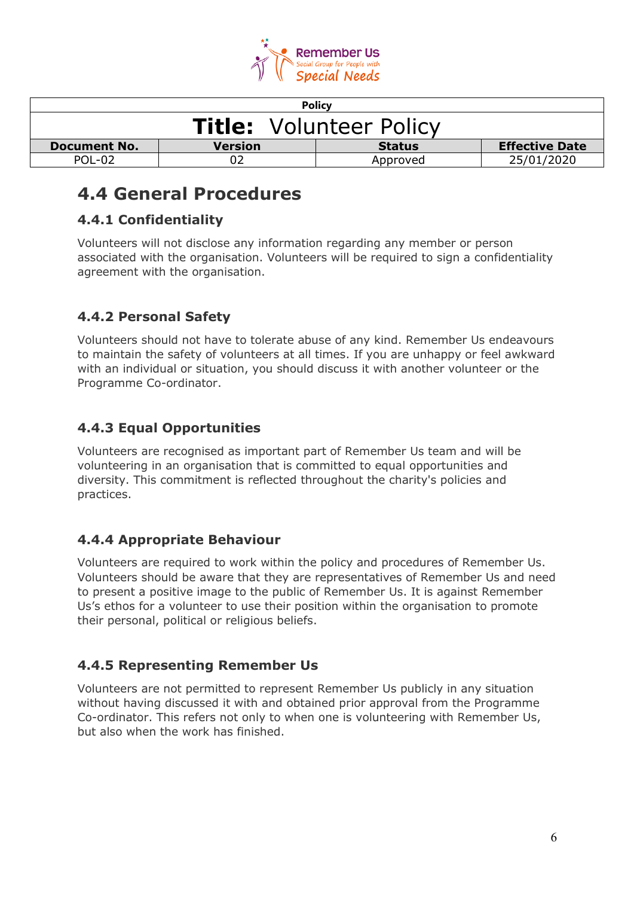

| <b>Policy</b>                  |                |               |                       |
|--------------------------------|----------------|---------------|-----------------------|
| <b>Title: Volunteer Policy</b> |                |               |                       |
| <b>Document No.</b>            | <b>Version</b> | <b>Status</b> | <b>Effective Date</b> |
| POL-02                         |                | Approved      | 25/01/2020            |

## **4.4 General Procedures**

## **4.4.1 Confidentiality**

Volunteers will not disclose any information regarding any member or person associated with the organisation. Volunteers will be required to sign a confidentiality agreement with the organisation.

## **4.4.2 Personal Safety**

Volunteers should not have to tolerate abuse of any kind. Remember Us endeavours to maintain the safety of volunteers at all times. If you are unhappy or feel awkward with an individual or situation, you should discuss it with another volunteer or the Programme Co-ordinator.

## **4.4.3 Equal Opportunities**

Volunteers are recognised as important part of Remember Us team and will be volunteering in an organisation that is committed to equal opportunities and diversity. This commitment is reflected throughout the charity's policies and practices.

## **4.4.4 Appropriate Behaviour**

Volunteers are required to work within the policy and procedures of Remember Us. Volunteers should be aware that they are representatives of Remember Us and need to present a positive image to the public of Remember Us. It is against Remember Us's ethos for a volunteer to use their position within the organisation to promote their personal, political or religious beliefs.

## **4.4.5 Representing Remember Us**

Volunteers are not permitted to represent Remember Us publicly in any situation without having discussed it with and obtained prior approval from the Programme Co-ordinator. This refers not only to when one is volunteering with Remember Us, but also when the work has finished.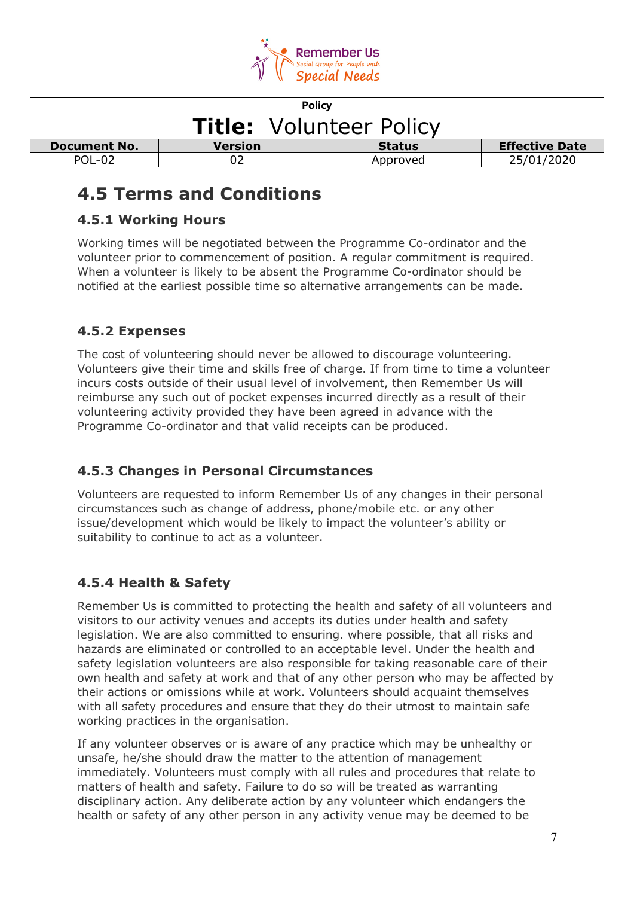

| <b>Policy</b>                  |                |               |                       |
|--------------------------------|----------------|---------------|-----------------------|
| <b>Title: Volunteer Policy</b> |                |               |                       |
| <b>Document No.</b>            | <b>Version</b> | <b>Status</b> | <b>Effective Date</b> |
| POL-02                         |                | Approved      | 25/01/2020            |

## **4.5 Terms and Conditions**

## **4.5.1 Working Hours**

Working times will be negotiated between the Programme Co-ordinator and the volunteer prior to commencement of position. A regular commitment is required. When a volunteer is likely to be absent the Programme Co-ordinator should be notified at the earliest possible time so alternative arrangements can be made.

## **4.5.2 Expenses**

The cost of volunteering should never be allowed to discourage volunteering. Volunteers give their time and skills free of charge. If from time to time a volunteer incurs costs outside of their usual level of involvement, then Remember Us will reimburse any such out of pocket expenses incurred directly as a result of their volunteering activity provided they have been agreed in advance with the Programme Co-ordinator and that valid receipts can be produced.

## **4.5.3 Changes in Personal Circumstances**

Volunteers are requested to inform Remember Us of any changes in their personal circumstances such as change of address, phone/mobile etc. or any other issue/development which would be likely to impact the volunteer's ability or suitability to continue to act as a volunteer.

## **4.5.4 Health & Safety**

Remember Us is committed to protecting the health and safety of all volunteers and visitors to our activity venues and accepts its duties under health and safety legislation. We are also committed to ensuring. where possible, that all risks and hazards are eliminated or controlled to an acceptable level. Under the health and safety legislation volunteers are also responsible for taking reasonable care of their own health and safety at work and that of any other person who may be affected by their actions or omissions while at work. Volunteers should acquaint themselves with all safety procedures and ensure that they do their utmost to maintain safe working practices in the organisation.

If any volunteer observes or is aware of any practice which may be unhealthy or unsafe, he/she should draw the matter to the attention of management immediately. Volunteers must comply with all rules and procedures that relate to matters of health and safety. Failure to do so will be treated as warranting disciplinary action. Any deliberate action by any volunteer which endangers the health or safety of any other person in any activity venue may be deemed to be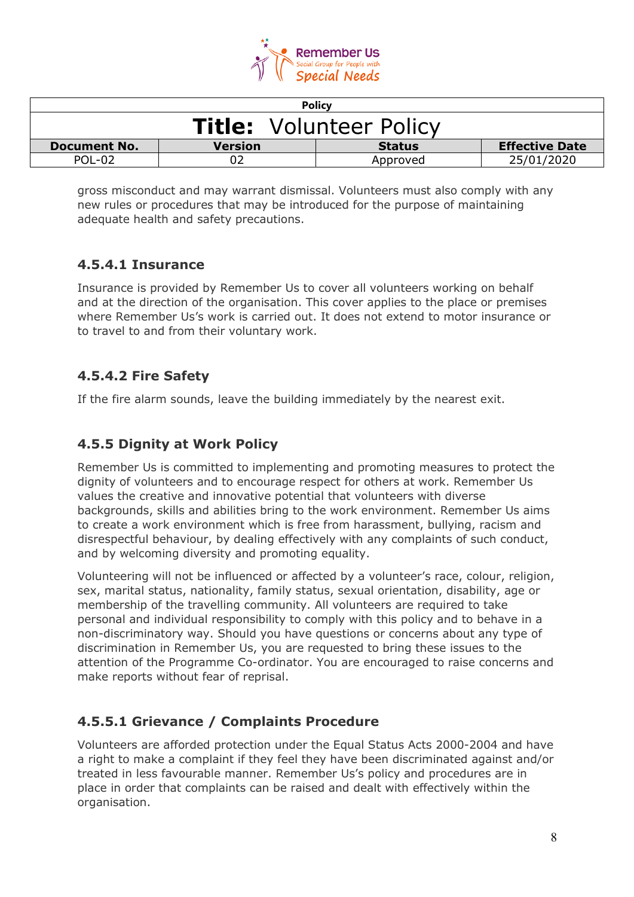

| <b>Policy</b>                  |                |               |                       |
|--------------------------------|----------------|---------------|-----------------------|
| <b>Title: Volunteer Policy</b> |                |               |                       |
| <b>Document No.</b>            | <b>Version</b> | <b>Status</b> | <b>Effective Date</b> |
| POL-02                         |                | Approved      | 25/01/2020            |

gross misconduct and may warrant dismissal. Volunteers must also comply with any new rules or procedures that may be introduced for the purpose of maintaining adequate health and safety precautions.

## **4.5.4.1 Insurance**

Insurance is provided by Remember Us to cover all volunteers working on behalf and at the direction of the organisation. This cover applies to the place or premises where Remember Us's work is carried out. It does not extend to motor insurance or to travel to and from their voluntary work.

### **4.5.4.2 Fire Safety**

If the fire alarm sounds, leave the building immediately by the nearest exit.

### **4.5.5 Dignity at Work Policy**

Remember Us is committed to implementing and promoting measures to protect the dignity of volunteers and to encourage respect for others at work. Remember Us values the creative and innovative potential that volunteers with diverse backgrounds, skills and abilities bring to the work environment. Remember Us aims to create a work environment which is free from harassment, bullying, racism and disrespectful behaviour, by dealing effectively with any complaints of such conduct, and by welcoming diversity and promoting equality.

Volunteering will not be influenced or affected by a volunteer's race, colour, religion, sex, marital status, nationality, family status, sexual orientation, disability, age or membership of the travelling community. All volunteers are required to take personal and individual responsibility to comply with this policy and to behave in a non-discriminatory way. Should you have questions or concerns about any type of discrimination in Remember Us, you are requested to bring these issues to the attention of the Programme Co-ordinator. You are encouraged to raise concerns and make reports without fear of reprisal.

## **4.5.5.1 Grievance / Complaints Procedure**

Volunteers are afforded protection under the Equal Status Acts 2000-2004 and have a right to make a complaint if they feel they have been discriminated against and/or treated in less favourable manner. Remember Us's policy and procedures are in place in order that complaints can be raised and dealt with effectively within the organisation.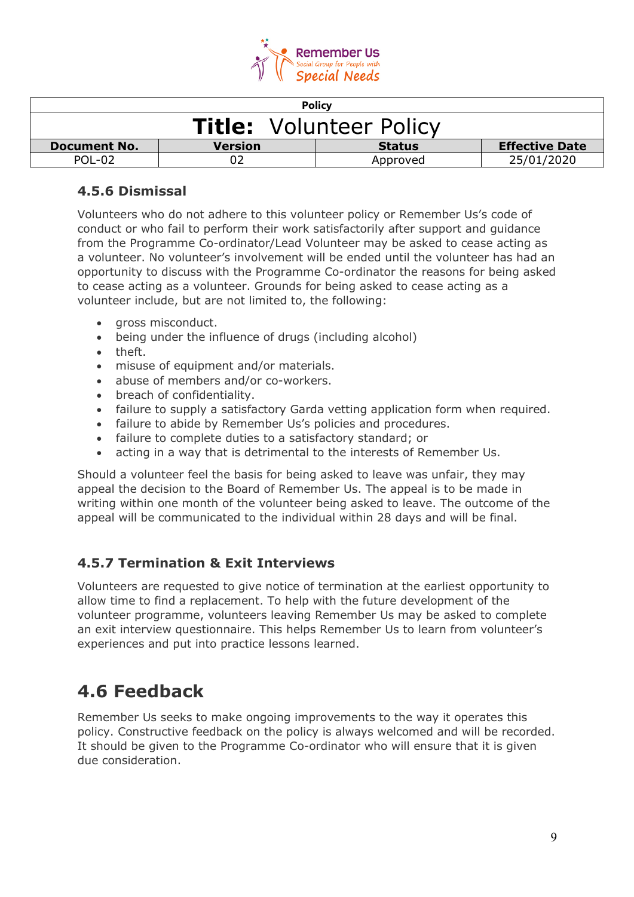

| <b>Policy</b>                  |                |               |                       |
|--------------------------------|----------------|---------------|-----------------------|
| <b>Title:</b> Volunteer Policy |                |               |                       |
| <b>Document No.</b>            | <b>Version</b> | <b>Status</b> | <b>Effective Date</b> |
| POL-02                         |                | Approved      | 25/01/2020            |

### **4.5.6 Dismissal**

Volunteers who do not adhere to this volunteer policy or Remember Us's code of conduct or who fail to perform their work satisfactorily after support and guidance from the Programme Co-ordinator/Lead Volunteer may be asked to cease acting as a volunteer. No volunteer's involvement will be ended until the volunteer has had an opportunity to discuss with the Programme Co-ordinator the reasons for being asked to cease acting as a volunteer. Grounds for being asked to cease acting as a volunteer include, but are not limited to, the following:

- gross misconduct.
- being under the influence of drugs (including alcohol)
- theft.
- misuse of equipment and/or materials.
- abuse of members and/or co-workers.
- breach of confidentiality.
- failure to supply a satisfactory Garda vetting application form when required.
- failure to abide by Remember Us's policies and procedures.
- failure to complete duties to a satisfactory standard; or
- acting in a way that is detrimental to the interests of Remember Us.

Should a volunteer feel the basis for being asked to leave was unfair, they may appeal the decision to the Board of Remember Us. The appeal is to be made in writing within one month of the volunteer being asked to leave. The outcome of the appeal will be communicated to the individual within 28 days and will be final.

## **4.5.7 Termination & Exit Interviews**

Volunteers are requested to give notice of termination at the earliest opportunity to allow time to find a replacement. To help with the future development of the volunteer programme, volunteers leaving Remember Us may be asked to complete an exit interview questionnaire. This helps Remember Us to learn from volunteer's experiences and put into practice lessons learned.

## **4.6 Feedback**

Remember Us seeks to make ongoing improvements to the way it operates this policy. Constructive feedback on the policy is always welcomed and will be recorded. It should be given to the Programme Co-ordinator who will ensure that it is given due consideration.